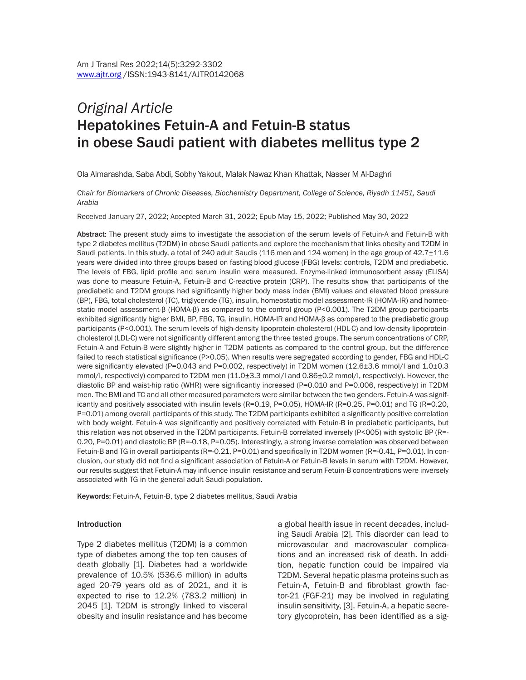# *Original Article* Hepatokines Fetuin-A and Fetuin-B status in obese Saudi patient with diabetes mellitus type 2

Ola Almarashda, Saba Abdi, Sobhy Yakout, Malak Nawaz Khan Khattak, Nasser M Al-Daghri

*Chair for Biomarkers of Chronic Diseases, Biochemistry Department, College of Science, Riyadh 11451, Saudi Arabia*

Received January 27, 2022; Accepted March 31, 2022; Epub May 15, 2022; Published May 30, 2022

Abstract: The present study aims to investigate the association of the serum levels of Fetuin-A and Fetuin-B with type 2 diabetes mellitus (T2DM) in obese Saudi patients and explore the mechanism that links obesity and T2DM in Saudi patients. In this study, a total of 240 adult Saudis (116 men and 124 women) in the age group of 42.7±11.6 years were divided into three groups based on fasting blood glucose (FBG) levels: controls, T2DM and prediabetic. The levels of FBG, lipid profile and serum insulin were measured. Enzyme-linked immunosorbent assay (ELISA) was done to measure Fetuin-A, Fetuin-B and C-reactive protein (CRP). The results show that participants of the prediabetic and T2DM groups had significantly higher body mass index (BMI) values and elevated blood pressure (BP), FBG, total cholesterol (TC), triglyceride (TG), insulin, homeostatic model assessment-IR (HOMA-IR) and homeostatic model assessment-β (HOMA-β) as compared to the control group (P<0.001). The T2DM group participants exhibited significantly higher BMI, BP, FBG, TG, insulin, HOMA-IR and HOMA-β as compared to the prediabetic group participants (P<0.001). The serum levels of high-density lipoprotein-cholesterol (HDL-C) and low-density lipoproteincholesterol (LDL-C) were not significantly different among the three tested groups. The serum concentrations of CRP, Fetuin-A and Fetuin-B were slightly higher in T2DM patients as compared to the control group, but the difference failed to reach statistical significance (P>0.05). When results were segregated according to gender, FBG and HDL-C were significantly elevated (P=0.043 and P=0.002, respectively) in T2DM women (12.6±3.6 mmol/l and 1.0±0.3 mmol/l, respectively) compared to T2DM men (11.0±3.3 mmol/l and 0.86±0.2 mmol/l, respectively). However, the diastolic BP and waist-hip ratio (WHR) were significantly increased (P=0.010 and P=0.006, respectively) in T2DM men. The BMI and TC and all other measured parameters were similar between the two genders. Fetuin-A was significantly and positively associated with insulin levels (R=0.19, P=0.05), HOMA-IR (R=0.25, P=0.01) and TG (R=0.20, P=0.01) among overall participants of this study. The T2DM participants exhibited a significantly positive correlation with body weight. Fetuin-A was significantly and positively correlated with Fetuin-B in prediabetic participants, but this relation was not observed in the T2DM participants. Fetuin-B correlated inversely (P<005) with systolic BP (R=- 0.20, P=0.01) and diastolic BP (R=-0.18, P=0.05). Interestingly, a strong inverse correlation was observed between Fetuin-B and TG in overall participants (R=-0.21, P=0.01) and specifically in T2DM women (R=-0.41, P=0.01). In conclusion, our study did not find a significant association of Fetuin-A or Fetuin-B levels in serum with T2DM. However, our results suggest that Fetuin-A may influence insulin resistance and serum Fetuin-B concentrations were inversely associated with TG in the general adult Saudi population.

Keywords: Fetuin-A, Fetuin-B, type 2 diabetes mellitus, Saudi Arabia

#### Introduction

Type 2 diabetes mellitus (T2DM) is a common type of diabetes among the top ten causes of death globally [1]. Diabetes had a worldwide prevalence of 10.5% (536.6 million) in adults aged 20-79 years old as of 2021, and it is expected to rise to 12.2% (783.2 million) in 2045 [1]. T2DM is strongly linked to visceral obesity and insulin resistance and has become

a global health issue in recent decades, including Saudi Arabia [2]. This disorder can lead to microvascular and macrovascular complications and an increased risk of death. In addition, hepatic function could be impaired via T2DM. Several hepatic plasma proteins such as Fetuin-A, Fetuin-B and fibroblast growth factor-21 (FGF-21) may be involved in regulating insulin sensitivity, [3]. Fetuin-A, a hepatic secretory glycoprotein, has been identified as a sig-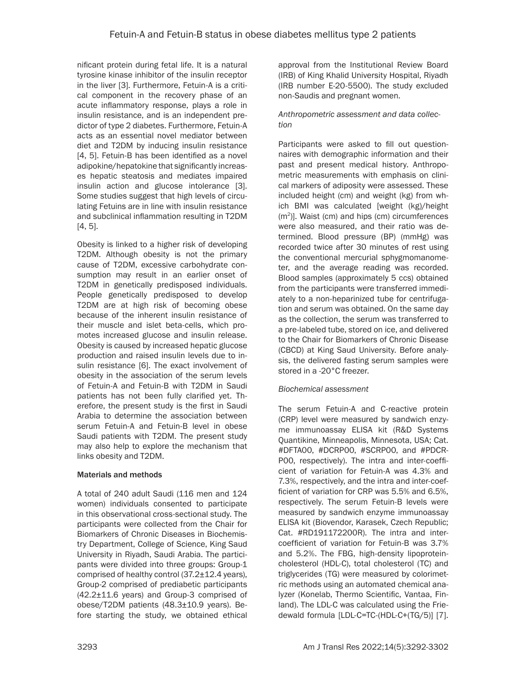nificant protein during fetal life. It is a natural tyrosine kinase inhibitor of the insulin receptor in the liver [3]. Furthermore, Fetuin-A is a critical component in the recovery phase of an acute inflammatory response, plays a role in insulin resistance, and is an independent predictor of type 2 diabetes. Furthermore, Fetuin-A acts as an essential novel mediator between diet and T2DM by inducing insulin resistance [4, 5]. Fetuin-B has been identified as a novel adipokine/hepatokine that significantly increases hepatic steatosis and mediates impaired insulin action and glucose intolerance [3]. Some studies suggest that high levels of circulating Fetuins are in line with insulin resistance and subclinical inflammation resulting in T2DM [4, 5].

Obesity is linked to a higher risk of developing T2DM. Although obesity is not the primary cause of T2DM, excessive carbohydrate consumption may result in an earlier onset of T2DM in genetically predisposed individuals. People genetically predisposed to develop T2DM are at high risk of becoming obese because of the inherent insulin resistance of their muscle and islet beta-cells, which promotes increased glucose and insulin release. Obesity is caused by increased hepatic glucose production and raised insulin levels due to insulin resistance [6]. The exact involvement of obesity in the association of the serum levels of Fetuin-A and Fetuin-B with T2DM in Saudi patients has not been fully clarified yet. Therefore, the present study is the first in Saudi Arabia to determine the association between serum Fetuin-A and Fetuin-B level in obese Saudi patients with T2DM. The present study may also help to explore the mechanism that links obesity and T2DM.

# Materials and methods

A total of 240 adult Saudi (116 men and 124 women) individuals consented to participate in this observational cross-sectional study. The participants were collected from the Chair for Biomarkers of Chronic Diseases in Biochemistry Department, College of Science, King Saud University in Riyadh, Saudi Arabia. The participants were divided into three groups: Group-1 comprised of healthy control (37.2±12.4 years), Group-2 comprised of prediabetic participants (42.2±11.6 years) and Group-3 comprised of obese/T2DM patients (48.3±10.9 years). Before starting the study, we obtained ethical approval from the Institutional Review Board (IRB) of King Khalid University Hospital, Riyadh (IRB number E-20-5500). The study excluded non-Saudis and pregnant women.

# *Anthropometric assessment and data collection*

Participants were asked to fill out questionnaires with demographic information and their past and present medical history. Anthropometric measurements with emphasis on clinical markers of adiposity were assessed. These included height (cm) and weight (kg) from which BMI was calculated [weight (kg)/height (m2)]. Waist (cm) and hips (cm) circumferences were also measured, and their ratio was determined. Blood pressure (BP) (mmHg) was recorded twice after 30 minutes of rest using the conventional mercurial sphygmomanometer, and the average reading was recorded. Blood samples (approximately 5 ccs) obtained from the participants were transferred immediately to a non-heparinized tube for centrifugation and serum was obtained. On the same day as the collection, the serum was transferred to a pre-labeled tube, stored on ice, and delivered to the Chair for Biomarkers of Chronic Disease (CBCD) at King Saud University. Before analysis, the delivered fasting serum samples were stored in a -20°C freezer.

# *Biochemical assessment*

The serum Fetuin-A and C-reactive protein (CRP) level were measured by sandwich enzyme immunoassay ELISA kit (R&D Systems Quantikine, Minneapolis, Minnesota, USA; Cat. #DFTA00, #DCRP00, #SCRP00, and #PDCR-P00, respectively). The intra and inter-coefficient of variation for Fetuin-A was 4.3% and 7.3%, respectively, and the intra and inter-coefficient of variation for CRP was 5.5% and 6.5%, respectively. The serum Fetuin-B levels were measured by sandwich enzyme immunoassay ELISA kit (Biovendor, Karasek, Czech Republic; Cat. #RD191172200R). The intra and intercoefficient of variation for Fetuin-B was 3.7% and 5.2%. The FBG, high-density lipoproteincholesterol (HDL-C), total cholesterol (TC) and triglycerides (TG) were measured by colorimetric methods using an automated chemical analyzer (Konelab, Thermo Scientific, Vantaa, Finland). The LDL-C was calculated using the Friedewald formula [LDL-C=TC-(HDL-C+(TG/5)] [7].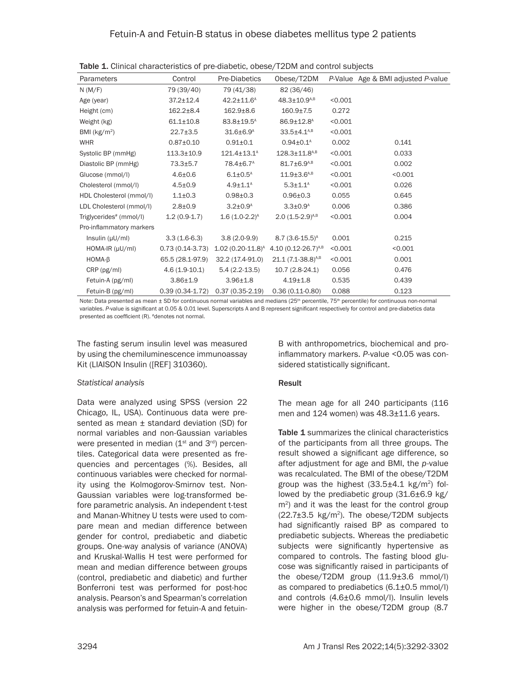| Parameters                          | Control           | Pre-Diabetics               | Obese/T2DM                      |         | P-Value Age & BMI adjusted P-value |
|-------------------------------------|-------------------|-----------------------------|---------------------------------|---------|------------------------------------|
| N(M/F)                              | 79 (39/40)        | 79 (41/38)                  | 82 (36/46)                      |         |                                    |
| Age (year)                          | $37.2 \pm 12.4$   | $42.2 \pm 11.6^{\text{A}}$  | $48.3 \pm 10.9^{A,B}$           | < 0.001 |                                    |
| Height (cm)                         | $162.2 \pm 8.4$   | $162.9 \pm 8.6$             | $160.9 \pm 7.5$                 | 0.272   |                                    |
| Weight (kg)                         | $61.1 \pm 10.8$   | $83.8 \pm 19.5^{\text{A}}$  | $86.9 \pm 12.8^{\text{A}}$      | < 0.001 |                                    |
| BMI $(kg/m2)$                       | $22.7 \pm 3.5$    | $31.6 \pm 6.9^{\text{A}}$   | $33.5 \pm 4.1^{A,B}$            | < 0.001 |                                    |
| <b>WHR</b>                          | $0.87 + 0.10$     | $0.91 \pm 0.1$              | $0.94 \pm 0.1^{\text{A}}$       | 0.002   | 0.141                              |
| Systolic BP (mmHg)                  | $113.3 \pm 10.9$  | $121.4 \pm 13.1^{\text{A}}$ | $128.3 \pm 11.8$ <sup>A,B</sup> | < 0.001 | 0.033                              |
| Diastolic BP (mmHg)                 | $73.3 \pm 5.7$    | 78.4±6.7 <sup>A</sup>       | $81.7 \pm 6.9^{A,B}$            | < 0.001 | 0.002                              |
| Glucose (mmol/l)                    | $4.6 \pm 0.6$     | $6.1 \pm 0.5^{\text{A}}$    | $11.9 \pm 3.6^{A,B}$            | < 0.001 | < 0.001                            |
| Cholesterol (mmol/l)                | $4.5 \pm 0.9$     | $4.9 \pm 1.1^{\text{A}}$    | $5.3 \pm 1.1^{\text{A}}$        | < 0.001 | 0.026                              |
| HDL Cholesterol (mmol/l)            | $1.1 \pm 0.3$     | $0.98 + 0.3$                | $0.96 \pm 0.3$                  | 0.055   | 0.645                              |
| LDL Cholesterol (mmol/l)            | $2.8 \pm 0.9$     | $3.2{\pm}0.9^{\text{A}}$    | $3.3 \pm 0.9^{\text{A}}$        | 0.006   | 0.386                              |
| Triglycerides <sup>#</sup> (mmol/l) | $1.2(0.9-1.7)$    | $1.6(1.0-2.2)^{A}$          | $2.0 (1.5 - 2.9)^{A,B}$         | < 0.001 | 0.004                              |
| Pro-inflammatory markers            |                   |                             |                                 |         |                                    |
| Insulin $(\mu U/ml)$                | $3.3(1.6-6.3)$    | $3.8(2.0-9.9)$              | $8.7(3.6-15.5)^{A}$             | 0.001   | 0.215                              |
| $HOMA-IR (\mu U/ml)$                | $0.73(0.14-3.73)$ | $1.02(0.20 - 11.8)^{A}$     | 4.10 $(0.12 - 26.7)^{A,B}$      | < 0.001 | < 0.001                            |
| $HOMA-B$                            | 65.5 (28.1-97.9)  | 32.2 (17.4-91.0)            | 21.1 (7.1-38.8) <sup>A,B</sup>  | < 0.001 | 0.001                              |
| $CRP$ ( $pg/ml$ )                   | $4.6(1.9-10.1)$   | $5.4(2.2-13.5)$             | $10.7(2.8-24.1)$                | 0.056   | 0.476                              |
| Fetuin-A (pg/ml)                    | $3.86 \pm 1.9$    | $3.96 \pm 1.8$              | $4.19 \pm 1.8$                  | 0.535   | 0.439                              |
| Fetuin-B (pg/ml)                    | $0.39(0.34-1.72)$ | $0.37(0.35-2.19)$           | $0.36(0.11-0.80)$               | 0.088   | 0.123                              |

Table 1. Clinical characteristics of pre-diabetic, obese/T2DM and control subjects

Note: Data presented as mean ± SD for continuous normal variables and medians (25<sup>th</sup> percentile, 75<sup>th</sup> percentile) for continuous non-normal variables. *P*-value is significant at 0.05 & 0.01 level. Superscripts A and B represent significant respectively for control and pre-diabetics data presented as coefficient (R). #denotes not normal.

The fasting serum insulin level was measured by using the chemiluminescence immunoassay Kit (LIAISON Insulin ([REF] 310360).

## *Statistical analysis*

Data were analyzed using SPSS (version 22 Chicago, IL, USA). Continuous data were presented as mean ± standard deviation (SD) for normal variables and non-Gaussian variables were presented in median  $(1<sup>st</sup>$  and  $3<sup>rd</sup>)$  percentiles. Categorical data were presented as frequencies and percentages (%). Besides, all continuous variables were checked for normality using the Kolmogorov-Smirnov test. Non-Gaussian variables were log-transformed before parametric analysis. An independent t-test and Manan-Whitney U tests were used to compare mean and median difference between gender for control, prediabetic and diabetic groups. One-way analysis of variance (ANOVA) and Kruskal-Wallis H test were performed for mean and median difference between groups (control, prediabetic and diabetic) and further Bonferroni test was performed for post-hoc analysis. Pearson's and Spearman's correlation analysis was performed for fetuin-A and fetuin-

B with anthropometrics, biochemical and proinflammatory markers. *P*-value <0.05 was considered statistically significant.

## Result

The mean age for all 240 participants (116 men and 124 women) was 48.3±11.6 years.

Table 1 summarizes the clinical characteristics of the participants from all three groups. The result showed a significant age difference, so after adjustment for age and BMI, the *p*-value was recalculated. The BMI of the obese/T2DM group was the highest  $(33.5\pm4.1 \text{ kg/m}^2)$  followed by the prediabetic group (31.6±6.9 kg/  $m<sup>2</sup>$ ) and it was the least for the control group  $(22.7\pm3.5 \text{ kg/m}^2)$ . The obese/T2DM subjects had significantly raised BP as compared to prediabetic subjects. Whereas the prediabetic subjects were significantly hypertensive as compared to controls. The fasting blood glucose was significantly raised in participants of the obese/T2DM group (11.9±3.6 mmol/l) as compared to prediabetics (6.1±0.5 mmol/l) and controls (4.6±0.6 mmol/l). Insulin levels were higher in the obese/T2DM group (8.7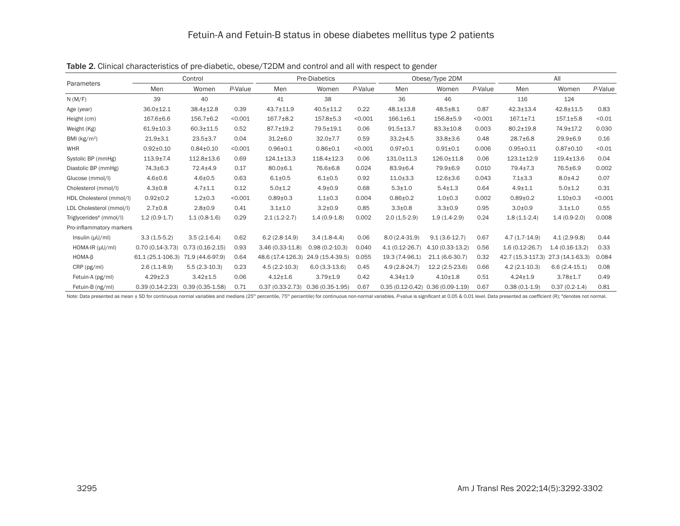|                                     |                   | Control           |         |                     | <b>Pre-Diabetics</b> |         |                    | Obese/Type 2DM                      |         |                    | All              |         |  |
|-------------------------------------|-------------------|-------------------|---------|---------------------|----------------------|---------|--------------------|-------------------------------------|---------|--------------------|------------------|---------|--|
| Parameters                          | Men               | Women             | P-Value | Men                 | Women                | P-Value | Men                | Women                               | P-Value | Men                | Women            | P-Value |  |
| N(M/F)                              | 39                | 40                |         | 41                  | 38                   |         | 36                 | 46                                  |         | 116                | 124              |         |  |
| Age (year)                          | $36.0 \pm 12.1$   | 38.4±12.8         | 0.39    | $43.7 \pm 11.9$     | 40.5±11.2            | 0.22    | $48.1 \pm 13.8$    | $48.5 + 8.1$                        | 0.87    | $42.3 \pm 13.4$    | $42.8 \pm 11.5$  | 0.83    |  |
| Height (cm)                         | $167.6 \pm 6.6$   | $156.7 \pm 6.2$   | < 0.001 | $167.7 \pm 8.2$     | $157.8 + 5.3$        | < 0.001 | $166.1 \pm 6.1$    | $156.8 + 5.9$                       | < 0.001 | $167.1 \pm 7.1$    | $157.1 \pm 5.8$  | < 0.01  |  |
| Weight (Kg)                         | $61.9 \pm 10.3$   | $60.3 \pm 11.5$   | 0.52    | 87.7±19.2           | 79.5±19.1            | 0.06    | $91.5 \pm 13.7$    | $83.3 \pm 10.8$                     | 0.003   | 80.2±19.8          | 74.9±17.2        | 0.030   |  |
| BMI ( $kg/m2$ )                     | $21.9 + 3.1$      | $23.5 \pm 3.7$    | 0.04    | $31.2 \pm 6.0$      | $32.0 \pm 7.7$       | 0.59    | $33.2 \pm 4.5$     | $33.8 \pm 3.6$                      | 0.48    | $28.7 \pm 6.8$     | $29.9 + 6.9$     | 0.16    |  |
| <b>WHR</b>                          | $0.92 \pm 0.10$   | $0.84 \pm 0.10$   | < 0.001 | $0.96 + 0.1$        | $0.86 + 0.1$         | < 0.001 | $0.97 + 0.1$       | $0.91 + 0.1$                        | 0.006   | $0.95 + 0.11$      | $0.87 + 0.10$    | < 0.01  |  |
| Systolic BP (mmHg)                  | $113.9 + 7.4$     | $112.8 \pm 13.6$  | 0.69    | $124.1 \pm 13.3$    | $118.4 \pm 12.3$     | 0.06    | 131.0±11.3         | 126.0±11.8                          | 0.06    | $123.1 \pm 12.9$   | $119.4 \pm 13.6$ | 0.04    |  |
| Diastolic BP (mmHg)                 | 74.3±6.3          | 72.4±4.9          | 0.17    | $80.0 \pm 6.1$      | 76.6±6.8             | 0.024   | $83.9 \pm 6.4$     | 79.9±6.9                            | 0.010   | $79.4 \pm 7.3$     | 76.5±6.9         | 0.002   |  |
| Glucose (mmol/l)                    | $4.6 + 0.6$       | $4.6 + 0.5$       | 0.63    | $6.1 \pm 0.5$       | $6.1 \pm 0.5$        | 0.92    | $11.0 \pm 3.3$     | $12.6 \pm 3.6$                      | 0.043   | $7.1 \pm 3.3$      | $8.0 + 4.2$      | 0.07    |  |
| Cholesterol (mmol/l)                | $4.3 \pm 0.8$     | $4.7 \pm 1.1$     | 0.12    | $5.0 \pm 1.2$       | $4.9 + 0.9$          | 0.68    | $5.3 \pm 1.0$      | $5.4 \pm 1.3$                       | 0.64    | $4.9 + 1.1$        | $5.0 \pm 1.2$    | 0.31    |  |
| HDL Cholesterol (mmol/l)            | $0.92 \pm 0.2$    | $1.2 + 0.3$       | < 0.001 | $0.89 + 0.3$        | $1.1 \pm 0.3$        | 0.004   | $0.86 \pm 0.2$     | $1.0 + 0.3$                         | 0.002   | $0.89 + 0.2$       | $1.10+0.3$       | < 0.001 |  |
| LDL Cholesterol (mmol/l)            | $2.7 \pm 0.8$     | $2.8 + 0.9$       | 0.41    | $3.1 \pm 1.0$       | $3.2 \pm 0.9$        | 0.85    | $3.3 \pm 0.8$      | $3.3 \pm 0.9$                       | 0.95    | $3.0 + 0.9$        | $3.1 \pm 1.0$    | 0.55    |  |
| Triglycerides <sup>#</sup> (mmol/l) | $1.2(0.9-1.7)$    | $1.1(0.8-1.6)$    | 0.29    | $2.1(1.2-2.7)$      | $1.4(0.9-1.8)$       | 0.002   | $2.0(1.5-2.9)$     | $1.9(1.4-2.9)$                      | 0.24    | $1.8(1.1-2.4)$     | $1.4(0.9-2.0)$   | 0.008   |  |
| Pro-inflammatory markers            |                   |                   |         |                     |                      |         |                    |                                     |         |                    |                  |         |  |
| Insulin $(\mu U/mI)$                | $3.3(1.5-5.2)$    | $3.5(2.1-6.4)$    | 0.62    | $6.2(2.8-14.9)$     | $3.4(1.8-4.4)$       | 0.06    | $8.0(2.4-31.9)$    | $9.1(3.6-12.7)$                     | 0.67    | $4.7(1.7-14.9)$    | $4.1(2.9-9.8)$   | 0.44    |  |
| HOMA-IR (µU/ml)                     | $0.70(0.14-3.73)$ | $0.73(0.16-2.15)$ | 0.93    | $3.46(0.33 - 11.8)$ | $0.98(0.2-10.3)$     | 0.040   | $4.1(0.12 - 26.7)$ | 4.10 (0.33-13.2)                    | 0.56    | $1.6(0.12 - 26.7)$ | $1.4(0.16-13.2)$ | 0.33    |  |
| $HOMA-B$                            | 61.1 (25.1-106.3) | 71.9 (44.6-97.9)  | 0.64    | 48.6 (17.4-126.3)   | 24.9 (15.4-39.5)     | 0.055   | 19.3 (7.4-96.1)    | $21.1(6.6-30.7)$                    | 0.32    | 42.7 (15.3-117.3)  | 27.3 (14.1-63.3) | 0.084   |  |
| CRP (pg/ml)                         | $2.6(1.1-8.9)$    | $5.5(2.3-10.3)$   | 0.23    | $4.5(2.2 - 10.3)$   | $6.0(3.3-13.6)$      | 0.45    | 4.9 (2.8-24.7)     | 12.2 (2.5-23.6)                     | 0.66    | $4.2(2.1-10.3)$    | $6.6(2.4-15.1)$  | 0.08    |  |
| Fetuin-A (pg/ml)                    | $4.29 \pm 2.3$    | $3.42 \pm 1.5$    | 0.06    | $4.12 \pm 1.6$      | $3.79 + 1.9$         | 0.42    | $4.34 \pm 1.9$     | $4.10 \pm 1.8$                      | 0.51    | $4.24 \pm 1.9$     | $3.78 + 1.7$     | 0.49    |  |
| Fetuin-B (ng/ml)                    | $0.39(0.14-2.23)$ | $0.39(0.35-1.58)$ | 0.71    | $0.37(0.33-2.73)$   | $0.36(0.35-1.95)$    | 0.67    |                    | $0.35(0.12-0.42)$ $0.36(0.09-1.19)$ | 0.67    | $0.38(0.1-1.9)$    | $0.37(0.2-1.4)$  | 0.81    |  |

Table 2. Clinical characteristics of pre-diabetic, obese/T2DM and control and all with respect to gender

Note: Data presented as mean ± SD for continuous normal variables and medians (25<sup>th</sup> percentile, 75<sup>th</sup> percentile) for continuous non-normal variables. P-value is significant at 0.05 & 0.01 level. Data presented as coeff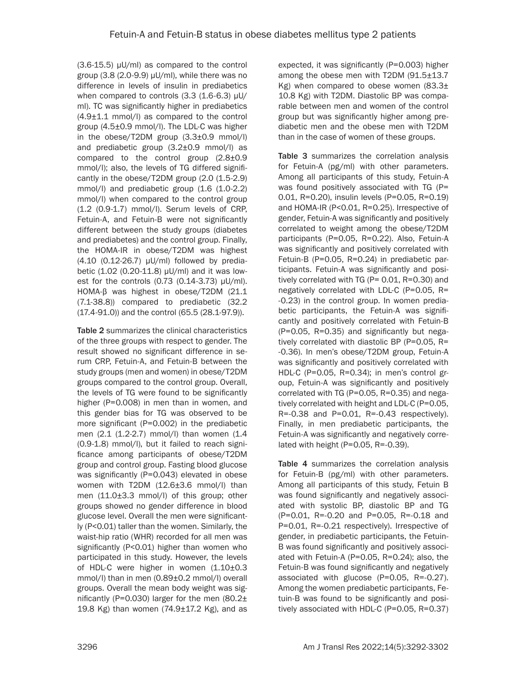(3.6-15.5) μU/ml) as compared to the control group (3.8 (2.0-9.9) μU/ml), while there was no difference in levels of insulin in prediabetics when compared to controls (3.3 (1.6-6.3) μU/ ml). TC was significantly higher in prediabetics (4.9±1.1 mmol/l) as compared to the control group (4.5±0.9 mmol/l). The LDL-C was higher in the obese/T2DM group (3.3±0.9 mmol/l) and prediabetic group (3.2±0.9 mmol/l) as compared to the control group (2.8±0.9 mmol/l); also, the levels of TG differed significantly in the obese/T2DM group (2.0 (1.5-2.9) mmol/l) and prediabetic group (1.6 (1.0-2.2) mmol/l) when compared to the control group (1.2 (0.9-1.7) mmol/l). Serum levels of CRP, Fetuin-A, and Fetuin-B were not significantly different between the study groups (diabetes and prediabetes) and the control group. Finally, the HOMA-IR in obese/T2DM was highest (4.10 (0.12-26.7) μU/ml) followed by prediabetic (1.02 (0.20-11.8) μU/ml) and it was lowest for the controls (0.73 (0.14-3.73) μU/ml). HOMA-β was highest in obese/T2DM (21.1 (7.1-38.8)) compared to prediabetic (32.2 (17.4-91.0)) and the control (65.5 (28.1-97.9)).

Table 2 summarizes the clinical characteristics of the three groups with respect to gender. The result showed no significant difference in serum CRP, Fetuin-A, and Fetuin-B between the study groups (men and women) in obese/T2DM groups compared to the control group. Overall, the levels of TG were found to be significantly higher (P=0.008) in men than in women, and this gender bias for TG was observed to be more significant (P=0.002) in the prediabetic men (2.1 (1.2-2.7) mmol/l) than women (1.4 (0.9-1.8) mmol/l), but it failed to reach significance among participants of obese/T2DM group and control group. Fasting blood glucose was significantly (P=0.043) elevated in obese women with T2DM (12.6±3.6 mmol/l) than men (11.0±3.3 mmol/l) of this group; other groups showed no gender difference in blood glucose level. Overall the men were significantly (P<0.01) taller than the women. Similarly, the waist-hip ratio (WHR) recorded for all men was significantly (P<0.01) higher than women who participated in this study. However, the levels of HDL-C were higher in women (1.10±0.3 mmol/l) than in men (0.89±0.2 mmol/l) overall groups. Overall the mean body weight was significantly (P=0.030) larger for the men  $(80.2<sub>±</sub>)$ 19.8 Kg) than women  $(74.9 \pm 17.2 \text{ Kg})$ , and as expected, it was significantly (P=0.003) higher among the obese men with T2DM (91.5±13.7 Kg) when compared to obese women  $(83.3\pm$ 10.8 Kg) with T2DM. Diastolic BP was comparable between men and women of the control group but was significantly higher among prediabetic men and the obese men with T2DM than in the case of women of these groups.

Table 3 summarizes the correlation analysis for Fetuin-A (pg/ml) with other parameters. Among all participants of this study, Fetuin-A was found positively associated with TG (P= 0.01, R=0.20), insulin levels (P=0.05, R=0.19) and HOMA-IR (P<0.01, R=0.25). Irrespective of gender, Fetuin-A was significantly and positively correlated to weight among the obese/T2DM participants (P=0.05, R=0.22). Also, Fetuin-A was significantly and positively correlated with Fetuin-B (P=0.05, R=0.24) in prediabetic participants. Fetuin-A was significantly and positively correlated with TG (P= 0.01, R=0.30) and negatively correlated with LDL-C (P=0.05, R= -0.23) in the control group. In women prediabetic participants, the Fetuin-A was significantly and positively correlated with Fetuin-B (P=0.05, R=0.35) and significantly but negatively correlated with diastolic BP (P=0.05, R= -0.36). In men's obese/T2DM group, Fetuin-A was significantly and positively correlated with HDL-C (P=0.05, R=0.34); in men's control group, Fetuin-A was significantly and positively correlated with TG (P=0.05, R=0.35) and negatively correlated with height and LDL-C (P=0.05,  $R = -0.38$  and  $P = 0.01$ ,  $R = -0.43$  respectively). Finally, in men prediabetic participants, the Fetuin-A was significantly and negatively correlated with height (P=0.05, R=-0.39).

Table 4 summarizes the correlation analysis for Fetuin-B (pg/ml) with other parameters. Among all participants of this study, Fetuin B was found significantly and negatively associated with systolic BP, diastolic BP and TG (P=0.01, R=-0.20 and P=0.05, R=-0.18 and P=0.01, R=-0.21 respectively). Irrespective of gender, in prediabetic participants, the Fetuin-B was found significantly and positively associated with Fetuin-A (P=0.05, R=0.24); also, the Fetuin-B was found significantly and negatively associated with glucose (P=0.05, R=-0.27). Among the women prediabetic participants, Fetuin-B was found to be significantly and positively associated with HDL-C (P=0.05, R=0.37)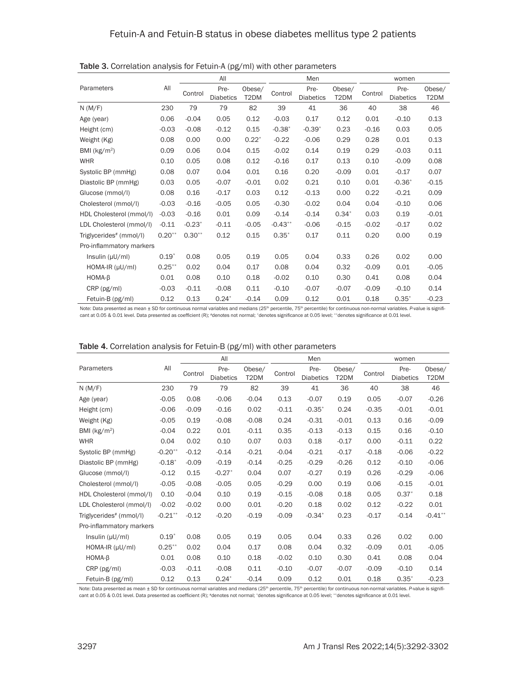|                                     | All       | All      |                          |                |           | Men                      |                | women   |                          |                |  |
|-------------------------------------|-----------|----------|--------------------------|----------------|-----------|--------------------------|----------------|---------|--------------------------|----------------|--|
| Parameters                          |           | Control  | Pre-<br><b>Diabetics</b> | Obese/<br>T2DM | Control   | Pre-<br><b>Diabetics</b> | Obese/<br>T2DM | Control | Pre-<br><b>Diabetics</b> | Obese/<br>T2DM |  |
| N(M/F)                              | 230       | 79       | 79                       | 82             | 39        | 41                       | 36             | 40      | 38                       | 46             |  |
| Age (year)                          | 0.06      | $-0.04$  | 0.05                     | 0.12           | $-0.03$   | 0.17                     | 0.12           | 0.01    | $-0.10$                  | 0.13           |  |
| Height (cm)                         | $-0.03$   | $-0.08$  | $-0.12$                  | 0.15           | $-0.38*$  | $-0.39*$                 | 0.23           | $-0.16$ | 0.03                     | 0.05           |  |
| Weight (Kg)                         | 0.08      | 0.00     | 0.00                     | $0.22*$        | $-0.22$   | $-0.06$                  | 0.29           | 0.28    | 0.01                     | 0.13           |  |
| BMI (kg/m <sup>2</sup> )            | 0.09      | 0.06     | 0.04                     | 0.15           | $-0.02$   | 0.14                     | 0.19           | 0.29    | $-0.03$                  | 0.11           |  |
| <b>WHR</b>                          | 0.10      | 0.05     | 0.08                     | 0.12           | $-0.16$   | 0.17                     | 0.13           | 0.10    | $-0.09$                  | 0.08           |  |
| Systolic BP (mmHg)                  | 0.08      | 0.07     | 0.04                     | 0.01           | 0.16      | 0.20                     | $-0.09$        | 0.01    | $-0.17$                  | 0.07           |  |
| Diastolic BP (mmHg)                 | 0.03      | 0.05     | $-0.07$                  | $-0.01$        | 0.02      | 0.21                     | 0.10           | 0.01    | $-0.36*$                 | $-0.15$        |  |
| Glucose (mmol/l)                    | 0.08      | 0.16     | $-0.17$                  | 0.03           | 0.12      | $-0.13$                  | 0.00           | 0.22    | $-0.21$                  | 0.09           |  |
| Cholesterol (mmol/l)                | $-0.03$   | $-0.16$  | $-0.05$                  | 0.05           | $-0.30$   | $-0.02$                  | 0.04           | 0.04    | $-0.10$                  | 0.06           |  |
| HDL Cholesterol (mmol/l)            | $-0.03$   | $-0.16$  | 0.01                     | 0.09           | $-0.14$   | $-0.14$                  | $0.34*$        | 0.03    | 0.19                     | $-0.01$        |  |
| LDL Cholesterol (mmol/l)            | $-0.11$   | $-0.23*$ | $-0.11$                  | $-0.05$        | $-0.43**$ | $-0.06$                  | $-0.15$        | $-0.02$ | $-0.17$                  | 0.02           |  |
| Triglycerides <sup>#</sup> (mmol/l) | $0.20**$  | $0.30**$ | 0.12                     | 0.15           | $0.35*$   | 0.17                     | 0.11           | 0.20    | 0.00                     | 0.19           |  |
| Pro-inflammatory markers            |           |          |                          |                |           |                          |                |         |                          |                |  |
| Insulin $(\mu U/ml)$                | $0.19*$   | 0.08     | 0.05                     | 0.19           | 0.05      | 0.04                     | 0.33           | 0.26    | 0.02                     | 0.00           |  |
| $HOMA-IR (µU/ml)$                   | $0.25***$ | 0.02     | 0.04                     | 0.17           | 0.08      | 0.04                     | 0.32           | $-0.09$ | 0.01                     | $-0.05$        |  |
| $HOMA-B$                            | 0.01      | 0.08     | 0.10                     | 0.18           | $-0.02$   | 0.10                     | 0.30           | 0.41    | 0.08                     | 0.04           |  |
| CRP (pg/ml)                         | $-0.03$   | $-0.11$  | $-0.08$                  | 0.11           | $-0.10$   | $-0.07$                  | $-0.07$        | $-0.09$ | $-0.10$                  | 0.14           |  |
| Fetuin-B (pg/ml)                    | 0.12      | 0.13     | $0.24*$                  | $-0.14$        | 0.09      | 0.12                     | 0.01           | 0.18    | $0.35*$                  | $-0.23$        |  |

Table 3. Correlation analysis for Fetuin-A (pg/ml) with other parameters

Note: Data presented as mean ± SD for continuous normal variables and medians (25<sup>th</sup> percentile, 75<sup>th</sup> percentile) for continuous non-normal variables. *P*-value is significant at 0.05 & 0.01 level. Data presented as coefficient (R); #denotes not normal; \*denotes significance at 0.05 level; \*\*denotes significance at 0.01 level.

|                                     |           | All     |                          |                |         | Men                      |                | women   |                          |                |  |
|-------------------------------------|-----------|---------|--------------------------|----------------|---------|--------------------------|----------------|---------|--------------------------|----------------|--|
| Parameters                          | All       | Control | Pre-<br><b>Diabetics</b> | Obese/<br>T2DM | Control | Pre-<br><b>Diabetics</b> | Obese/<br>T2DM | Control | Pre-<br><b>Diabetics</b> | Obese/<br>T2DM |  |
| N(M/F)                              | 230       | 79      | 79                       | 82             | 39      | 41                       | 36             | 40      | 38                       | 46             |  |
| Age (year)                          | $-0.05$   | 0.08    | $-0.06$                  | $-0.04$        | 0.13    | $-0.07$                  | 0.19           | 0.05    | $-0.07$                  | $-0.26$        |  |
| Height (cm)                         | $-0.06$   | $-0.09$ | $-0.16$                  | 0.02           | $-0.11$ | $-0.35"$                 | 0.24           | $-0.35$ | $-0.01$                  | $-0.01$        |  |
| Weight (Kg)                         | $-0.05$   | 0.19    | $-0.08$                  | $-0.08$        | 0.24    | $-0.31$                  | $-0.01$        | 0.13    | 0.16                     | $-0.09$        |  |
| BMI ( $kg/m2$ )                     | $-0.04$   | 0.22    | 0.01                     | $-0.11$        | 0.35    | $-0.13$                  | $-0.13$        | 0.15    | 0.16                     | $-0.10$        |  |
| <b>WHR</b>                          | 0.04      | 0.02    | 0.10                     | 0.07           | 0.03    | 0.18                     | $-0.17$        | 0.00    | $-0.11$                  | 0.22           |  |
| Systolic BP (mmHg)                  | $-0.20**$ | $-0.12$ | $-0.14$                  | $-0.21$        | $-0.04$ | $-0.21$                  | $-0.17$        | $-0.18$ | $-0.06$                  | $-0.22$        |  |
| Diastolic BP (mmHg)                 | $-0.18"$  | $-0.09$ | $-0.19$                  | $-0.14$        | $-0.25$ | $-0.29$                  | $-0.26$        | 0.12    | $-0.10$                  | $-0.06$        |  |
| Glucose (mmol/l)                    | $-0.12$   | 0.15    | $-0.27*$                 | 0.04           | 0.07    | $-0.27$                  | 0.19           | 0.26    | $-0.29$                  | $-0.06$        |  |
| Cholesterol (mmol/l)                | $-0.05$   | $-0.08$ | $-0.05$                  | 0.05           | $-0.29$ | 0.00                     | 0.19           | 0.06    | $-0.15$                  | $-0.01$        |  |
| HDL Cholesterol (mmol/l)            | 0.10      | $-0.04$ | 0.10                     | 0.19           | $-0.15$ | $-0.08$                  | 0.18           | 0.05    | $0.37*$                  | 0.18           |  |
| LDL Cholesterol (mmol/l)            | $-0.02$   | $-0.02$ | 0.00                     | 0.01           | $-0.20$ | 0.18                     | 0.02           | 0.12    | $-0.22$                  | 0.01           |  |
| Triglycerides <sup>#</sup> (mmol/l) | $-0.21**$ | $-0.12$ | $-0.20$                  | $-0.19$        | $-0.09$ | $-0.34*$                 | 0.23           | $-0.17$ | $-0.14$                  | $-0.41**$      |  |
| Pro-inflammatory markers            |           |         |                          |                |         |                          |                |         |                          |                |  |
| Insulin $(\mu U/ml)$                | $0.19*$   | 0.08    | 0.05                     | 0.19           | 0.05    | 0.04                     | 0.33           | 0.26    | 0.02                     | 0.00           |  |
| HOMA-IR (µU/ml)                     | $0.25***$ | 0.02    | 0.04                     | 0.17           | 0.08    | 0.04                     | 0.32           | $-0.09$ | 0.01                     | $-0.05$        |  |
| $HOMA-B$                            | 0.01      | 0.08    | 0.10                     | 0.18           | $-0.02$ | 0.10                     | 0.30           | 0.41    | 0.08                     | 0.04           |  |
| CRP (pg/ml)                         | $-0.03$   | $-0.11$ | $-0.08$                  | 0.11           | $-0.10$ | $-0.07$                  | $-0.07$        | $-0.09$ | $-0.10$                  | 0.14           |  |
| Fetuin-B (pg/ml)                    | 0.12      | 0.13    | $0.24*$                  | $-0.14$        | 0.09    | 0.12                     | 0.01           | 0.18    | $0.35*$                  | $-0.23$        |  |

#### Table 4. Correlation analysis for Fetuin-B (pg/ml) with other parameters

Note: Data presented as mean ± SD for continuous normal variables and medians (25<sup>th</sup> percentile, 75<sup>th</sup> percentile) for continuous non-normal variables. *P-value is signifi*cant at 0.05 & 0.01 level. Data presented as coefficient (R); #denotes not normal; \*denotes significance at 0.05 level; \*\*denotes significance at 0.01 level.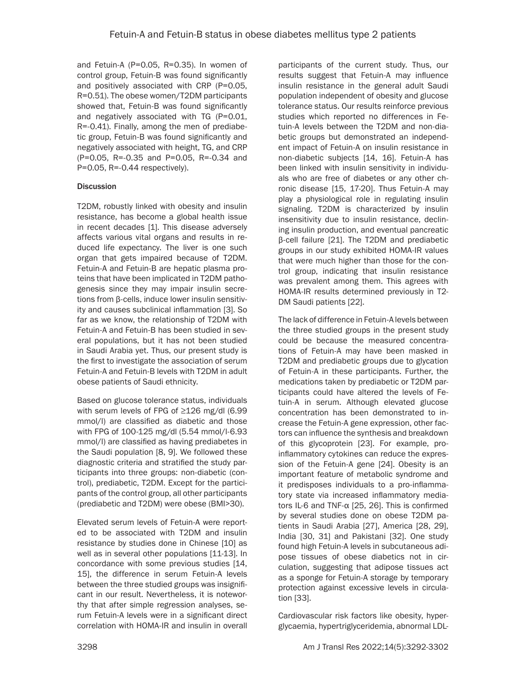and Fetuin-A (P=0.05, R=0.35). In women of control group, Fetuin-B was found significantly and positively associated with CRP (P=0.05, R=0.51). The obese women/T2DM participants showed that, Fetuin-B was found significantly and negatively associated with TG (P=0.01, R=-0.41). Finally, among the men of prediabetic group, Fetuin-B was found significantly and negatively associated with height, TG, and CRP (P=0.05, R=-0.35 and P=0.05, R=-0.34 and P=0.05, R=-0.44 respectively).

# **Discussion**

T2DM, robustly linked with obesity and insulin resistance, has become a global health issue in recent decades [1]. This disease adversely affects various vital organs and results in reduced life expectancy. The liver is one such organ that gets impaired because of T2DM. Fetuin-A and Fetuin-B are hepatic plasma proteins that have been implicated in T2DM pathogenesis since they may impair insulin secretions from β-cells, induce lower insulin sensitivity and causes subclinical inflammation [3]. So far as we know, the relationship of T2DM with Fetuin-A and Fetuin-B has been studied in several populations, but it has not been studied in Saudi Arabia yet. Thus, our present study is the first to investigate the association of serum Fetuin-A and Fetuin-B levels with T2DM in adult obese patients of Saudi ethnicity.

Based on glucose tolerance status, individuals with serum levels of FPG of ≥126 mg/dl (6.99 mmol/l) are classified as diabetic and those with FPG of 100-125 mg/dl (5.54 mmol/l-6.93 mmol/l) are classified as having prediabetes in the Saudi population [8, 9]. We followed these diagnostic criteria and stratified the study participants into three groups: non-diabetic (control), prediabetic, T2DM. Except for the participants of the control group, all other participants (prediabetic and T2DM) were obese (BMI>30).

Elevated serum levels of Fetuin-A were reported to be associated with T2DM and insulin resistance by studies done in Chinese [10] as well as in several other populations [11-13]. In concordance with some previous studies [14, 15], the difference in serum Fetuin-A levels between the three studied groups was insignificant in our result. Nevertheless, it is noteworthy that after simple regression analyses, serum Fetuin-A levels were in a significant direct correlation with HOMA-IR and insulin in overall participants of the current study. Thus, our results suggest that Fetuin-A may influence insulin resistance in the general adult Saudi population independent of obesity and glucose tolerance status. Our results reinforce previous studies which reported no differences in Fetuin-A levels between the T2DM and non-diabetic groups but demonstrated an independent impact of Fetuin-A on insulin resistance in non-diabetic subjects [14, 16]. Fetuin-A has been linked with insulin sensitivity in individuals who are free of diabetes or any other chronic disease [15, 17-20]. Thus Fetuin-A may play a physiological role in regulating insulin signaling. T2DM is characterized by insulin insensitivity due to insulin resistance, declining insulin production, and eventual pancreatic β-cell failure [21]. The T2DM and prediabetic groups in our study exhibited HOMA-IR values that were much higher than those for the control group, indicating that insulin resistance was prevalent among them. This agrees with HOMA-IR results determined previously in T2- DM Saudi patients [22].

The lack of difference in Fetuin-A levels between the three studied groups in the present study could be because the measured concentrations of Fetuin-A may have been masked in T2DM and prediabetic groups due to glycation of Fetuin-A in these participants. Further, the medications taken by prediabetic or T2DM participants could have altered the levels of Fetuin-A in serum. Although elevated glucose concentration has been demonstrated to increase the Fetuin-A gene expression, other factors can influence the synthesis and breakdown of this glycoprotein [23]. For example, proinflammatory cytokines can reduce the expression of the Fetuin-A gene [24]. Obesity is an important feature of metabolic syndrome and it predisposes individuals to a pro-inflammatory state via increased inflammatory mediators IL-6 and TNF-α [25, 26]. This is confirmed by several studies done on obese T2DM patients in Saudi Arabia [27], America [28, 29], India [30, 31] and Pakistani [32]. One study found high Fetuin-A levels in subcutaneous adipose tissues of obese diabetics not in circulation, suggesting that adipose tissues act as a sponge for Fetuin-A storage by temporary protection against excessive levels in circulation [33].

Cardiovascular risk factors like obesity, hyperglycaemia, hypertriglyceridemia, abnormal LDL-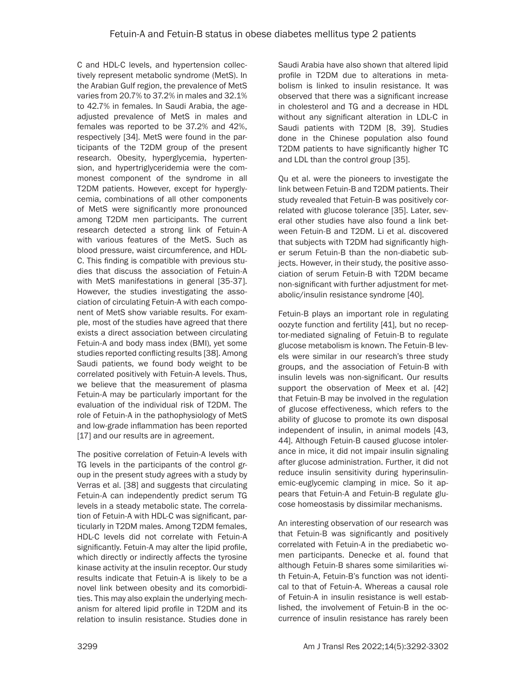C and HDL-C levels, and hypertension collectively represent metabolic syndrome (MetS). In the Arabian Gulf region, the prevalence of MetS varies from 20.7% to 37.2% in males and 32.1% to 42.7% in females. In Saudi Arabia, the ageadjusted prevalence of MetS in males and females was reported to be 37.2% and 42%, respectively [34]. MetS were found in the participants of the T2DM group of the present research. Obesity, hyperglycemia, hypertension, and hypertriglyceridemia were the commonest component of the syndrome in all T2DM patients. However, except for hyperglycemia, combinations of all other components of MetS were significantly more pronounced among T2DM men participants. The current research detected a strong link of Fetuin-A with various features of the MetS. Such as blood pressure, waist circumference, and HDL-C. This finding is compatible with previous studies that discuss the association of Fetuin-A with MetS manifestations in general [35-37]. However, the studies investigating the association of circulating Fetuin-A with each component of MetS show variable results. For example, most of the studies have agreed that there exists a direct association between circulating Fetuin-A and body mass index (BMI), yet some studies reported conflicting results [38]. Among Saudi patients, we found body weight to be correlated positively with Fetuin-A levels. Thus, we believe that the measurement of plasma Fetuin-A may be particularly important for the evaluation of the individual risk of T2DM. The role of Fetuin-A in the pathophysiology of MetS and low-grade inflammation has been reported [17] and our results are in agreement.

The positive correlation of Fetuin-A levels with TG levels in the participants of the control group in the present study agrees with a study by Verras et al. [38] and suggests that circulating Fetuin-A can independently predict serum TG levels in a steady metabolic state. The correlation of Fetuin-A with HDL-C was significant, particularly in T2DM males. Among T2DM females, HDL-C levels did not correlate with Fetuin-A significantly. Fetuin-A may alter the lipid profile, which directly or indirectly affects the tyrosine kinase activity at the insulin receptor. Our study results indicate that Fetuin-A is likely to be a novel link between obesity and its comorbidities. This may also explain the underlying mechanism for altered lipid profile in T2DM and its relation to insulin resistance. Studies done in

Saudi Arabia have also shown that altered lipid profile in T2DM due to alterations in metabolism is linked to insulin resistance. It was observed that there was a significant increase in cholesterol and TG and a decrease in HDL without any significant alteration in LDL-C in Saudi patients with T2DM [8, 39]. Studies done in the Chinese population also found T2DM patients to have significantly higher TC and LDL than the control group [35].

Qu et al. were the pioneers to investigate the link between Fetuin-B and T2DM patients. Their study revealed that Fetuin-B was positively correlated with glucose tolerance [35]. Later, several other studies have also found a link between Fetuin-B and T2DM. Li et al. discovered that subjects with T2DM had significantly higher serum Fetuin-B than the non-diabetic subjects. However, in their study, the positive association of serum Fetuin-B with T2DM became non-significant with further adjustment for metabolic/insulin resistance syndrome [40].

Fetuin-B plays an important role in regulating oozyte function and fertility [41], but no receptor-mediated signaling of Fetuin-B to regulate glucose metabolism is known. The Fetuin-B levels were similar in our research's three study groups, and the association of Fetuin-B with insulin levels was non-significant. Our results support the observation of Meex et al. [42] that Fetuin-B may be involved in the regulation of glucose effectiveness, which refers to the ability of glucose to promote its own disposal independent of insulin, in animal models [43, 44]. Although Fetuin-B caused glucose intolerance in mice, it did not impair insulin signaling after glucose administration. Further, it did not reduce insulin sensitivity during hyperinsulinemic-euglycemic clamping in mice. So it appears that Fetuin-A and Fetuin-B regulate glucose homeostasis by dissimilar mechanisms.

An interesting observation of our research was that Fetuin-B was significantly and positively correlated with Fetuin-A in the prediabetic women participants. Denecke et al. found that although Fetuin-B shares some similarities with Fetuin-A, Fetuin-B's function was not identical to that of Fetuin-A. Whereas a causal role of Fetuin-A in insulin resistance is well established, the involvement of Fetuin-B in the occurrence of insulin resistance has rarely been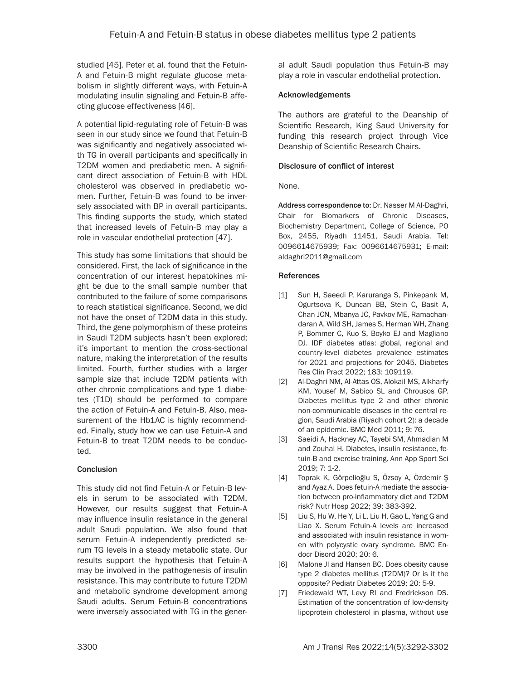studied [45]. Peter et al. found that the Fetuin-A and Fetuin-B might regulate glucose metabolism in slightly different ways, with Fetuin-A modulating insulin signaling and Fetuin-B affecting glucose effectiveness [46].

A potential lipid-regulating role of Fetuin-B was seen in our study since we found that Fetuin-B was significantly and negatively associated with TG in overall participants and specifically in T2DM women and prediabetic men. A significant direct association of Fetuin-B with HDL cholesterol was observed in prediabetic women. Further, Fetuin-B was found to be inversely associated with BP in overall participants. This finding supports the study, which stated that increased levels of Fetuin-B may play a role in vascular endothelial protection [47].

This study has some limitations that should be considered. First, the lack of significance in the concentration of our interest hepatokines might be due to the small sample number that contributed to the failure of some comparisons to reach statistical significance. Second, we did not have the onset of T2DM data in this study. Third, the gene polymorphism of these proteins in Saudi T2DM subjects hasn't been explored; it's important to mention the cross-sectional nature, making the interpretation of the results limited. Fourth, further studies with a larger sample size that include T2DM patients with other chronic complications and type 1 diabetes (T1D) should be performed to compare the action of Fetuin-A and Fetuin-B. Also, measurement of the Hb1AC is highly recommended. Finally, study how we can use Fetuin-A and Fetuin-B to treat T2DM needs to be conducted.

# **Conclusion**

This study did not find Fetuin-A or Fetuin-B levels in serum to be associated with T2DM. However, our results suggest that Fetuin-A may influence insulin resistance in the general adult Saudi population. We also found that serum Fetuin-A independently predicted serum TG levels in a steady metabolic state. Our results support the hypothesis that Fetuin-A may be involved in the pathogenesis of insulin resistance. This may contribute to future T2DM and metabolic syndrome development among Saudi adults. Serum Fetuin-B concentrations were inversely associated with TG in the general adult Saudi population thus Fetuin-B may play a role in vascular endothelial protection.

## Acknowledgements

The authors are grateful to the Deanship of Scientific Research, King Saud University for funding this research project through Vice Deanship of Scientific Research Chairs.

## Disclosure of conflict of interest

None.

Address correspondence to: Dr. Nasser M Al-Daghri, Chair for Biomarkers of Chronic Diseases, Biochemistry Department, College of Science, PO Box, 2455, Riyadh 11451, Saudi Arabia. Tel: 0096614675939; Fax: 0096614675931; E-mail: [aldaghri2011@gmail.com](mailto:aldaghri2011@gmail.com)

## References

- [1] Sun H, Saeedi P, Karuranga S, Pinkepank M, Ogurtsova K, Duncan BB, Stein C, Basit A, Chan JCN, Mbanya JC, Pavkov ME, Ramachandaran A, Wild SH, James S, Herman WH, Zhang P, Bommer C, Kuo S, Boyko EJ and Magliano DJ. IDF diabetes atlas: global, regional and country-level diabetes prevalence estimates for 2021 and projections for 2045. Diabetes Res Clin Pract 2022; 183: 109119.
- [2] Al-Daghri NM, Al-Attas OS, Alokail MS, Alkharfy KM, Yousef M, Sabico SL and Chrousos GP. Diabetes mellitus type 2 and other chronic non-communicable diseases in the central region, Saudi Arabia (Riyadh cohort 2): a decade of an epidemic. BMC Med 2011; 9: 76.
- [3] Saeidi A, Hackney AC, Tayebi SM, Ahmadian M and Zouhal H. Diabetes, insulin resistance, fetuin-B and exercise training. Ann App Sport Sci 2019; 7: 1-2.
- [4] Toprak K, Görpelioğlu S, Özsoy A, Özdemir Ş and Ayaz A. Does fetuin-A mediate the association between pro-inflammatory diet and T2DM risk? Nutr Hosp 2022; 39: 383-392.
- [5] Liu S, Hu W, He Y, Li L, Liu H, Gao L, Yang G and Liao X. Serum Fetuin-A levels are increased and associated with insulin resistance in women with polycystic ovary syndrome. BMC Endocr Disord 2020; 20: 6.
- [6] Malone JI and Hansen BC. Does obesity cause type 2 diabetes mellitus (T2DM)? Or is it the opposite? Pediatr Diabetes 2019; 20: 5-9.
- [7] Friedewald WT, Levy RI and Fredrickson DS. Estimation of the concentration of low-density lipoprotein cholesterol in plasma, without use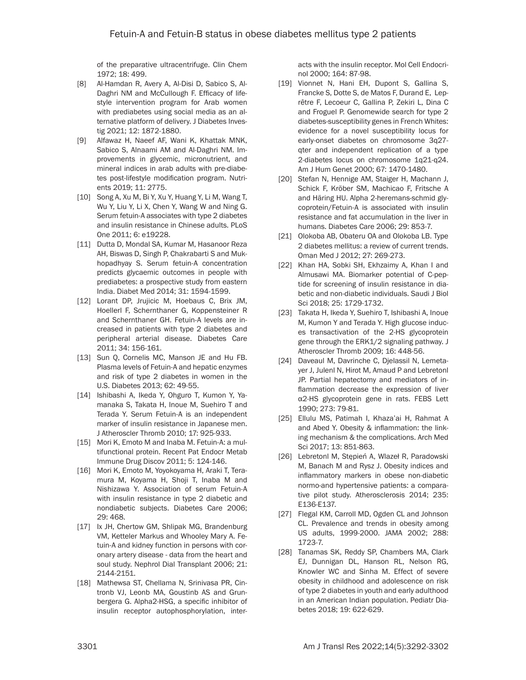of the preparative ultracentrifuge. Clin Chem 1972; 18: 499.

- [8] Al-Hamdan R, Avery A, Al-Disi D, Sabico S, Al-Daghri NM and McCullough F. Efficacy of lifestyle intervention program for Arab women with prediabetes using social media as an alternative platform of delivery. J Diabetes Investig 2021; 12: 1872-1880.
- [9] Alfawaz H, Naeef AF, Wani K, Khattak MNK, Sabico S, Alnaami AM and Al-Daghri NM. Improvements in glycemic, micronutrient, and mineral indices in arab adults with pre-diabetes post-lifestyle modification program. Nutrients 2019; 11: 2775.
- [10] Song A, Xu M, Bi Y, Xu Y, Huang Y, Li M, Wang T, Wu Y, Liu Y, Li X, Chen Y, Wang W and Ning G. Serum fetuin-A associates with type 2 diabetes and insulin resistance in Chinese adults. PLoS One 2011; 6: e19228.
- [11] Dutta D, Mondal SA, Kumar M, Hasanoor Reza AH, Biswas D, Singh P, Chakrabarti S and Mukhopadhyay S. Serum fetuin-A concentration predicts glycaemic outcomes in people with prediabetes: a prospective study from eastern India. Diabet Med 2014; 31: 1594-1599.
- [12] Lorant DP, Jrujicic M, Hoebaus C, Brix JM, Hoellerl F, Schernthaner G, Koppensteiner R and Schernthaner GH. Fetuin-A levels are increased in patients with type 2 diabetes and peripheral arterial disease. Diabetes Care 2011; 34: 156-161.
- [13] Sun Q, Cornelis MC, Manson JE and Hu FB. Plasma levels of Fetuin-A and hepatic enzymes and risk of type 2 diabetes in women in the U.S. Diabetes 2013; 62: 49-55.
- [14] Ishibashi A, Ikeda Y, Ohguro T, Kumon Y, Yamanaka S, Takata H, Inoue M, Suehiro T and Terada Y. Serum Fetuin-A is an independent marker of insulin resistance in Japanese men. J Atheroscler Thromb 2010; 17: 925-933.
- [15] Mori K, Emoto M and Inaba M, Fetuin-A; a multifunctional protein. Recent Pat Endocr Metab Immune Drug Discov 2011; 5: 124-146.
- [16] Mori K, Emoto M, Yoyokoyama H, Araki T, Teramura M, Koyama H, Shoji T, Inaba M and Nishizawa Y. Association of serum Fetuin-A with insulin resistance in type 2 diabetic and nondiabetic subjects. Diabetes Care 2006; 29: 468.
- [17] Ix JH, Chertow GM, Shlipak MG, Brandenburg VM, Ketteler Markus and Whooley Mary A. Fetuin-A and kidney function in persons with coronary artery disease - data from the heart and soul study. Nephrol Dial Transplant 2006; 21: 2144-2151.
- [18] Mathewsa ST, Chellama N, Srinivasa PR, Cintronb VJ, Leonb MA, Goustinb AS and Grunbergera G. Alpha2-HSG, a specific inhibitor of insulin receptor autophosphorylation, inter-

acts with the insulin receptor. Mol Cell Endocrinol 2000; 164: 87-98.

- [19] Vionnet N, Hani EH, Dupont S, Gallina S, Francke S, Dotte S, de Matos F, Durand E, Leprêtre F, Lecoeur C, Gallina P, Zekiri L, Dina C and Froguel P. Genomewide search for type 2 diabetes-susceptibility genes in French Whites: evidence for a novel susceptibility locus for early-onset diabetes on chromosome 3q27 qter and independent replication of a type 2-diabetes locus on chromosome 1q21-q24. Am J Hum Genet 2000; 67: 1470-1480.
- [20] Stefan N, Hennige AM, Staiger H, Machann J, Schick F, Kröber SM, Machicao F, Fritsche A and Häring HU. Alpha 2-heremans-schmid glycoprotein/Fetuin-A is associated with insulin resistance and fat accumulation in the liver in humans. Diabetes Care 2006; 29: 853-7.
- [21] Olokoba AB, Obateru OA and Olokoba LB. Type 2 diabetes mellitus: a review of current trends. Oman Med J 2012; 27: 269-273.
- [22] Khan HA, Sobki SH, Ekhzaimy A, Khan I and Almusawi MA. Biomarker potential of C-peptide for screening of insulin resistance in diabetic and non-diabetic individuals. Saudi J Biol Sci 2018; 25: 1729-1732.
- [23] Takata H, Ikeda Y, Suehiro T, Ishibashi A, Inoue M, Kumon Y and Terada Y. High glucose induces transactivation of the 2-HS glycoprotein gene through the ERK1/2 signaling pathway. J Atheroscler Thromb 2009; 16: 448-56.
- [24] Daveaul M, Davrinche C, Dielassil N, Lemetayer J, Julenl N, Hirot M, Amaud P and Lebretonl JP. Partial hepatectomy and mediators of inflammation decrease the expression of liver α2-HS glycoprotein gene in rats. FEBS Lett 1990; 273: 79-81.
- [25] Ellulu MS, Patimah I, Khaza'ai H, Rahmat A and Abed Y. Obesity & inflammation: the linking mechanism & the complications. Arch Med Sci 2017; 13: 851-863.
- [26] Lebretonl M, Stępień A, Wlazeł R, Paradowski M, Banach M and Rysz J. Obesity indices and inflammatory markers in obese non-diabetic normo-and hypertensive patients: a comparative pilot study. Atherosclerosis 2014; 235: E136-E137.
- [27] Flegal KM, Carroll MD, Ogden CL and Johnson CL. Prevalence and trends in obesity among US adults, 1999-2000. JAMA 2002; 288: 1723-7.
- [28] Tanamas SK, Reddy SP, Chambers MA, Clark EJ, Dunnigan DL, Hanson RL, Nelson RG, Knowler WC and Sinha M. Effect of severe obesity in childhood and adolescence on risk of type 2 diabetes in youth and early adulthood in an American Indian population. Pediatr Diabetes 2018; 19: 622-629.